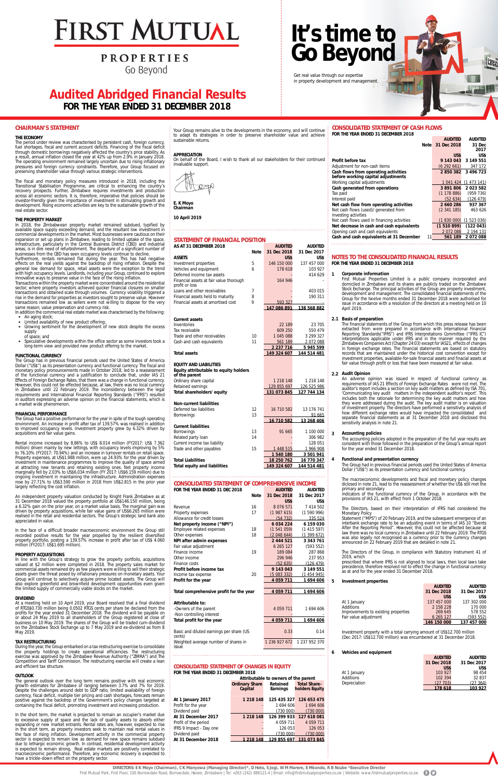# **FIRST MUTUAL**

## **PROPERTIES**

Go Beyond

#### **STATEMENT OF FINANCIAL POSITION**

| AS AT 31 DECEMBER 2018                                    |             | <b>AUDITED</b> | <b>AUDITED</b>     |
|-----------------------------------------------------------|-------------|----------------|--------------------|
|                                                           | <b>Note</b> | 31 Dec 2018    | 31 Dec 2017        |
| <b>ASSETS</b>                                             |             | US\$           | US\$               |
| Investment properties                                     | 5           | 146 150 000    | 137 457 000        |
| Vehicles and equipment                                    | 6           | 178 618        | 103 927            |
| Deferred income tax assets                                |             |                | 414 629            |
| Financial assets at fair value thorough<br>profit or loss |             | 164 946        |                    |
| Loans and other receivables                               | 7           |                | 403 015            |
| Financial assets held to maturity                         | 8           |                | 190 311            |
| Financial assets at amortised cost                        | 9           | 593 327        |                    |
|                                                           |             | 147 086 891    | 138 568 882        |
| <b>Current assets</b>                                     |             |                |                    |
| Inventories                                               |             | 22 189         | 23 705             |
| Tax receivable                                            |             | 609 250        | 550 479            |
| Trade and other receivables                               | 10          | 1 045 088      | 3 299 327          |
| Cash and cash equivalents                                 | 11          | 561 189        | 2072088            |
|                                                           |             | 2 237 716      | 5 945 599          |
| <b>Total assets</b>                                       |             | 149 324 607    | 144 514 481        |
| <b>EQUITY AND LIABILITIES</b>                             |             |                |                    |
| Equity attributable to equity holders                     |             |                |                    |
| of the parent                                             |             |                |                    |
| Ordinary share capital                                    |             | 1 218 148      | 1 218 148          |
| Retained earnings                                         |             | 129 855 697    | 126 525 986        |
| Total shareholders' equity                                |             | 131 073 845    | 127 744 134        |
| <b>Non-current liabilities</b>                            |             |                |                    |
| Deferred tax liabilities                                  | 12          | 16 710 582     | 13 176 741         |
| <b>Borrowings</b>                                         | 13          |                | 91 665             |
|                                                           |             | 16 710 582     | 13 268 406         |
| <b>Current liabilities</b>                                |             |                |                    |
| Borrowings                                                | 13          | 91 665         | 1 100 000          |
| Related party loan                                        | 14          |                | 306 982            |
| Current income tax liability                              |             |                | 128 051            |
| Trade and other payables                                  | 15          | 1 448 515      | 1 966 908          |
|                                                           |             | 1540180        | 3501941            |
| <b>Total Liabilities</b>                                  |             | 18 250 762     | <u>16 770 347</u>  |
| <b>Total equity and liabilities</b>                       |             | 149 324 607    | <u>144 514 481</u> |

Total profit for the year **4 059 711** 1 694 606 Basic and diluted earnings per share (US cents) Weighted average number of shares in issue

| FOR THE YEAR ENDED 31 DEC 2018 |             | <b>AUDITED</b> | <b>AUDITED</b> |
|--------------------------------|-------------|----------------|----------------|
|                                | <b>Note</b> | 31 Dec 2018    | 31 Dec 2017    |
|                                |             | US\$           | US\$           |
| Revenue                        | 16          | 8 0 7 6 5 7 1  | 7 414 502      |
| Property expenses              | 17          | (1987615)      | (1590996)      |
| Allowance for credit losses    |             | (54732)        | 335 524        |
| Net property income ("NPI")    |             | 6034224        | 6 159 030      |
| Employee related expenses      | 18          | (1541059)      | (1415597)      |
| Other expenses                 | 18          | (2048644)      | (1399672)      |
| NPI after admin expenses       |             | 2 444 521      | 3 343 761      |
| Fair value adjustment          |             | 6 265 127      | (593552)       |
| Finance income                 | 19          | 189 084        | 287 868        |
| Other income                   |             | 296 946        | 237 953        |
| Finance costs                  |             | (52 635)       | (126 479)      |
| Profit before income tax       |             | 9 143 043      | 3 149 551      |

**CONSOLIDATED STATEMENT OF COMPREHENSIVE INCOM** 

Income tax expense 20 (5 083 332) (1 454 945)<br> **Profit for the year** 20 (5 083 332) (1 454 945) **Profit for the year 1694 606** Total comprehensive profit for the year  $\sqrt{4.059711}$  1694 606 -Owners of the parent 1694 606 -Non controlling interest

**Attributable to:**

0.33 0.14

1 236 927 672 1 237 952 370

#### **CONSOLIDATED STATEMENT OF CHANGES IN EQUITY FOR THE YEAR ENDED 31 DECEMBER 2018**

|                         | Attributable to owners of the parent |                      |                                       |  |  |  |
|-------------------------|--------------------------------------|----------------------|---------------------------------------|--|--|--|
|                         | <b>Ordinary Share</b><br>Capital     | Retained<br>Earnings | <b>Total Share-</b><br>holders Equity |  |  |  |
| At 1 January 2017       | 1 2 1 8 1 4 8                        |                      | 125 435 327 126 653 475               |  |  |  |
| Profit for the year     |                                      | 1 694 606            | 1 694 606                             |  |  |  |
| Dividend paid           |                                      | (730 000)            | (730 000)                             |  |  |  |
| At 31 December 2017     | 1 218 148                            |                      | 126 399 933 127 618 081               |  |  |  |
| Profit of the period    |                                      | 4 059 711            | 4 0 5 9 7 1 1                         |  |  |  |
| IFRS 9 Impact - Day one |                                      | 126 053              | 126 053                               |  |  |  |
| Dividend paid           |                                      | (730 000)            | (730 000)                             |  |  |  |
| At 31 December 2018     | 1 218 148                            | 129 855 697          | 131 073 845                           |  |  |  |
|                         |                                      |                      |                                       |  |  |  |

#### **CONSOLIDATED STATEMENT OF CASH FLOWS FOR THE YEAR ENDED 31 DECEMBER 2018 AUDITED AUDITED**

| <b>Note</b>                                    | 31 Dec 2018 | 31 Dec      |
|------------------------------------------------|-------------|-------------|
|                                                |             | 2017        |
|                                                | US\$        | US\$        |
| Profit before tax                              | 9 143 043   | 3 149 551   |
| Adjustment for non-cash items                  | (6292661)   | 347 172     |
| Cash flows from operating activities           | 2850382     | 3 496 723   |
| before working capital adjustments             |             |             |
| Working capital adjustments                    | 1 041 424   | (1473141)   |
| Cash generated from operations                 | 3891806     | 2023582     |
| Tax paid                                       | (1178886)   | (959 736)   |
| Interest paid                                  | (52634)     | (126 479)   |
| Net cash flow from operating activities        | 2 660 286   | 937 367     |
| Net cash flows (used)/generated from           | (2341185)   | 463 626     |
| investing activities                           |             |             |
| Net cash flows used in financing activities    | (1830000)   | (1 523 036) |
| Net decrease in cash and cash equivalents      | (1510899)   | (122043)    |
| Opening cash and cash equivalents              | 2072088     | 2 194 131   |
| Cash and cash equivalents at 31 December<br>11 | 561 189     | 2072088     |

#### **CHAIRMAN'S STATEMENT**

#### **THE ECONOMY**

The period under review was characterised by persistent cash, foreign currency, fuel shortages, fiscal and current account deficits. Financing of the fiscal deficit through domestic borrowings negatively affected the country's price stability. As a result, annual inflation closed the year at 42% up from 2.9% in January 2018. The operating environment remained largely uncertain due to rising inflationary pressures and foreign currency constraints. Therefore, your Group focused on preserving shareholder value through various strategic interventions.

The fiscal and monetary policy measures introduced in 2018, including the Transitional Stabilisation Programme, are critical to enhancing the country's recovery prospects. Further, Zimbabwe requires investments and production across all economic sectors. It is, therefore, imperative that policies should be investor-friendly given the importance of investment in stimulating growth and development. Rising economic activities are key to the sustainable growth of the real estate sector.

#### **THE PROPERTY MARKET**

In 2018, the Zimbabwean property market remained subdued, typified by available space supply exceeding demand, and the resultant low investment in commercial developments in the market. Most businesses were cautious on their expansion or set up plans in Zimbabwe, leading to limited uptake of the space. Infrastructure, particularly in the Central Business District (CBD) and industrial areas, is in dire need of refurbishment. The departure of a significant number of businesses from the CBD has seen occupancy levels continue to decline.

In the short term, the market is projected to remain an occupier's market due to excessive supply of space and the lack of quality assets to absorb either expanding or new market entrants. Rental rates are, however, expected to rise in the short term, as property investors seek to maintain real rental values in the face of rising inflation. Development activity in the commercial property sector is expected to remain low as demand for new space remains subdued due to lethargic economic growth. In contrast, residential development activity is expected to remain strong. Real estate markets are positively correlated to macroeconomic performance. Therefore, any economic recovery is expected to have a trickle-down effect on the property sector.

Furthermore, rentals remained flat during the year. This has had negative effects on the real yields against the backdrop of rising inflation. Despite the general low demand for space, retail assets were the exception to the trend with high occupancy levels. Landlords, including your Group, continued to explore innovative ways to preserve value in the face of the rising inflation.

Transactions within the property market were concentrated around the residential sector, where property investors achieved quicker financial closures on smaller transactions and obtained scale through volumes. Currency volatility triggered a rise in the demand for properties as investors sought to preserve value. However transactions remained low as sellers were not willing to dispose for the very same reason; value preservation and currency risk.

In addition the commercial real estate market was characterised by the following: • An aging stock;

- Limited availability of new product offering;
- Growing sentiment for the development of new stock despite the excess supply
- of space; and
- Speculative developments within the office sector as some investors took a long-term view and provided new product offering to the market.

#### **FUNCTIONAL CURRENCY**

aiciosed in note 21, lead primary and secondary

The Group has in previous financial periods used the United States of America Dollar ("US\$") as its presentation currency and functional currency. The fiscal and monetary policy pronouncements made in October 2018, led to a reassessment of the functional currency and a justification to conclude that, under IAS 21 Effects of Foreign Exchange Rates, that there was a change in functional currency. However, this could not be effected because, at law, there was no local currency in Zimbabwe until 22 February 2019. The inconsistency between the legal requirements and International Financial Reporting Standards ("IFRS") resulted in auditors expressing an adverse opinion on the financial statements, which is a market wide phenomenon.

#### **FINANCIAL PERFORMANCE**

The Group had a positive performance for the year in spite of the tough operating environment. An increase in profit after tax of 139.57% was realised in addition to improved occupancy levels. Investment property grew by 6.32% driven by acquisitions and fair value gains.

Rental income increased by 8.86% to US\$ 8.014 million (FY2017: US\$ 7.362 million) driven mainly by new lettings, with occupancy levels improving by 5% to 76.10% (FY2017: 70.94%) and an increase in turnover rentals on retail space. Property expenses, at US\$1.988 million, were up 24.93% for the year driven by investment in maintenance programmes to improve the quality of space aimed at attracting new tenants and retaining existing ones. Net property income marginally fell by 2.03% to US\$6.034 million (FY 2017: US\$6.159 million) due to ongoing investment in maintaining the infrastructure. Administration expenses rose by 27.71% to US\$3.590 million in 2018 from US\$2.815 in the prior year

largely reflecting the cost inflation.

An independent property valuation conducted by Knight Frank Zimbabwe as at 31 December 2018 valued the property portfolio at US\$146.150 million, being a 6.32% gain on the prior year, on a market value basis. The marginal gain was driven by property acquisitions, while fair value gains of US\$6.265 million were realised in the retail and residential sectors. The Group's strategic land bank also appreciated in value.

In the face of a difficult broader macroeconomic environment the Group still recorded positive results for the year propelled by the resilient diversified property portfolio, posting a 139.57% increase in profit after tax of US\$ 4.060 million (FY2017: US\$1.695 million).

#### **PROPERTY ACQUISITIONS**

In line with the Group's strategy to grow the property portfolio, acquisitions valued at \$2 million were completed in 2018. The property sales market for commercial assets remained dry as few players were willing to sell their strategic assets given the threat posed by inflationary pressures on monetary assets. Your Group will continue to selectively acquire prime located assets. The Group will also explore greenfield and brownfield development opportunities even given the limited supply of commercially viable stocks on the market.

#### **DIVIDEND**

At a meeting held on 10 April 2019, your Board resolved that a final dividend of RTGS\$0.730 million being 0.0502 RTGS cents per share be declared from the profits for the year ended 31 December 2018. The dividend will be payable on or about 24 May 2019 to all shareholders of the Group registered at close of business on 10 May 2019. The shares of the Group will be traded cum-dividend on the Zimbabwe Stock Exchange up to 7 May 2019 and ex-dividend as from 8 May 2019.

#### **TAX RESTRUCTURING**

During the year, the Group embarked on a tax restructuring exercise to consolidate the property holdings to create operational efficiencies. The restructuring exercise was approved by the Zimbabwe Revenue Authority ("ZIMRA") and The Competition and Tariff Commission. The restructuring exercise will create a lean and efficient tax structure.

#### **OUTLOOK**

The general outlook over the long term remains positive with real economic growth estimates for Zimbabwe of ranging between 3.7% and 7% for 2019. Despite the challenges around debt to GDP ratio, limited availability of foreign currency, fiscal deficit, multiple tier pricing and cash shortages, forecasts remain positive against the backdrop of the Government's policy changes targeted at containing the fiscal deficit, promoting investment and increasing production.

#### **NOTES TO THE CONSOLIDATED FINANCIAL RESULTS FOR THE YEAR ENDED 31 DECEMBER 2018**

#### **1 Corporate information**

First Mutual Properties Limited is a public company incorporated and domiciled in Zimbabwe and its shares are publicly traded on the Zimbabwe Stock Exchange. The principal activities of the Group are property investment, development and management. The consolidated financial statements of the Group for the twelve months ended 31 December 2018 were authorised for issue in accordance with a resolution of the directors at a meeting held on 10 April 2019.

#### **2.1 Basis of preparation**

The financial statements of the Group from which this press release has been extracted from were prepared in accordance with International Financial Reporting Standards("IFRS") and IFRS Interpretations Committee ("IFRS IC") interpretations applicable under IFRS and in the manner required by the Zimbabwes Companies Act (Chapter 24:03) except for IAS21, effects of changes in foreign exchange rates. The financial statements are based on statutory records that are maintained under the historical cost convention except for investment properties, available-for-sale financial assets and finacial assets at fair value through profit or loss that have been measured at fair value.

#### **2.2 Audit Opinion**

An adverse opinion was issued in respect of functional currency as requirements of IAS 21 Effects of Foreign Exchange Rates were not met. The auditor's report includes a section on key audit matters as defined by ISA 701, 'Communicating key audit matters in the independent auditor's report'. This includes both the rationale for determining the key audit matters and how they were addressed during the audit. The key audit matter is on valuation of investment property. The directors have performed a sensitivity analysis of how different exchange rates would have impacted the consolidated and separate financial statements as at 31 December 2018 and disclosed this sensitivity analysis in note 21.

#### **3 Accounting policies**

The accounting policies adopted in the preparation of the full year results are consistent with those followed in the preparation of the Group's annual report for the year ended 31 December 2018.

#### **4 Functional and presentation currency**

The Group had in previous financial periods used the United States of America Dollar ("US\$") as its presentation currency and functional currency.

The macroeconomic developments and fiscal and monetary policy changes

indicators of the functional currency of the Group, in accordance with the provisions of IAS 21, with effect from 1 October 2018.

The Directors, based on their interpretation of IFRS had considered the Monetary Policy

Statement ("MPS") of 20 February 2019, and the subsequent emergence of an interbank exchange rate to be an adjusting event in terms of IAS 10 "Events After the Reporting Period". However, this could not be affected because at law there was no local currency in Zimbabwe until 22 February 2019. The RTGS was also legally not recognised as a currency prior to the currency changes announced on 22 February 2019 that are detailed in note 21.

The Directors of the Group, in compliance with Statutory Instrument 41 of 2019, which

prescribed that where IFRS is not aligned to local laws, then local laws take precedence, therefore resolved not to effect the change in functional currency as at and for the year ended 31 December 2018.

#### **5 Investment properties**

|                                     | <b>AUDITED</b><br>31 Dec 2018 | <b>AUDITED</b><br>31 Dec 2017 |
|-------------------------------------|-------------------------------|-------------------------------|
|                                     | US\$                          | US\$                          |
| At 1 January                        | 137 457 000                   | 137 302 000                   |
| Additions                           | 2 158 228                     | 170 000                       |
| Improvements to existing properties | 269 645                       | 578 552                       |
| Fair value adjustment               | 6 265 127                     | (593552)                      |
|                                     | 146 150 000                   | 137 457 000                   |

Investment property with a total carrying amount of US\$12.700 million (Dec 2017: US\$12.700 million) was encumbered at 31 December 2018.

#### **6 Vehicles and equipment**

|              | <b>AUDITED</b> | <b>AUDITED</b> |
|--------------|----------------|----------------|
|              | 31 Dec 2018    | 31 Dec 2017    |
|              | US\$           | US\$           |
| At 1 January | 103 927        | 98 454         |
| Additions    | 102 394        | 32 837         |
| Depreciation | (27, 703)      | (27 364)       |
|              | 178 618        | 103 927        |

Your Group remains alive to the developments in the economy, and will continue to adapt its strategies in order to preserve shareholder value and achieve sustainable returns.

#### **APPRECIATION**

On behalf of the Board, I wish to thank all our stakeholders for their continued invaluable support.



**E. K Moyo Chairman**

**10 April 2019**

## **Audited Abridged Financial Results FOR THE YEAR ENDED 31 DECEMBER 2018**

Get real value through our expertise in property development and management.

# **It's time to Go Beyond**